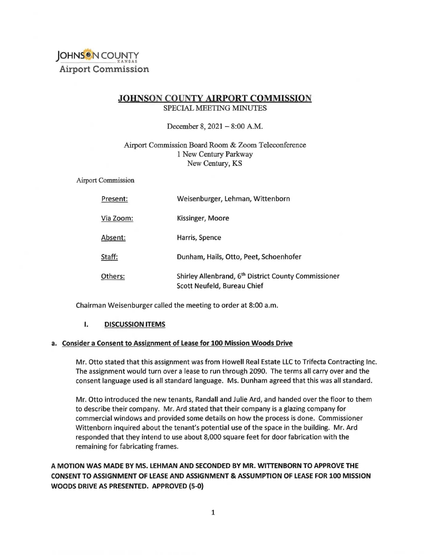

## **JOHNSON COUNTY AIRPORT COMMISSION** SPECIAL MEETING MINUTES

December 8, 2021 - 8:00 A.M.

## Airport Commission Board Room & Zoom Teleconference 1 New Century Parkway New Century, KS

Airport Commission

| Present:  | Weisenburger, Lehman, Wittenborn                                                                |
|-----------|-------------------------------------------------------------------------------------------------|
| Via Zoom: | Kissinger, Moore                                                                                |
| Absent:   | Harris, Spence                                                                                  |
| Staff:    | Dunham, Hails, Otto, Peet, Schoenhofer                                                          |
| Others:   | Shirley Allenbrand, 6 <sup>th</sup> District County Commissioner<br>Scott Neufeld, Bureau Chief |

Chairman Weisenburger called the meeting to order at 8:00 a.m.

#### **I. DISCUSSION ITEMS**

## **a. Consider a Consent to Assignment of Lease for 100 Mission Woods Drive**

Mr. Otto stated that this assignment was from Howell Real Estate LLC to Trifecta Contracting Inc. The assignment would turn over a lease to run through 2090. The terms all carry over and the consent language used is all standard language. Ms. Dunham agreed that this was all standard.

Mr. Otto introduced the new tenants, Randall and Julie Ard, and handed over the floor to them to describe their company. Mr. Ard stated that their company is a glazing company for commercial windows and provided some details on how the process is done. Commissioner Wittenborn inquired about the tenant's potential use of the space in the building. Mr. Ard responded that they intend to use about 8,000 square feet for door fabrication with the remaining for fabricating frames.

# **A MOTION WAS MADE BY MS. LEHMAN AND SECONDED BY MR. WITTENBORN TO APPROVE THE CONSENT TO ASSIGNMENT OF LEASE AND ASSIGNMENT & ASSUMPTION OF LEASE FOR 100 MISSION WOODS DRIVE AS PRESENTED. APPROVED (5-0}**